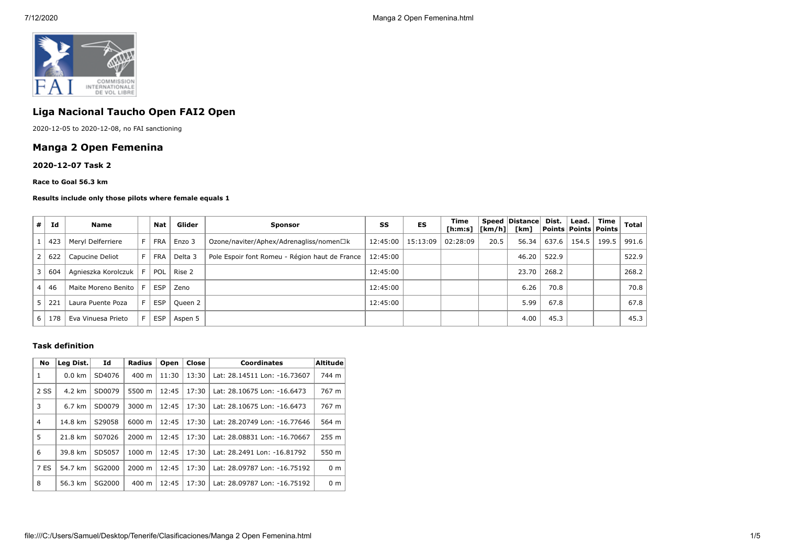

# **Liga Nacional Taucho Open FAI2 Open**

2020-12-05 to 2020-12-08, no FAI sanctioning

# **Manga 2 Open Femenina**

### **2020-12-07 Task 2**

#### **Race to Goal 56.3 km**

#### **Results include only those pilots where female equals 1**

| # | Id  | Name                | Nat        | Glider  | <b>Sponsor</b>                                 | SS       | ES       | Time<br>$[h:m:s]$ $ [km/h] $ |      | Speed Distance<br>[km] | Dist. | Lead. | Time<br>  Points   Points   Points | Total |
|---|-----|---------------------|------------|---------|------------------------------------------------|----------|----------|------------------------------|------|------------------------|-------|-------|------------------------------------|-------|
|   | 423 | Meryl Delferriere   | <b>FRA</b> | Enzo 3  | Ozone/naviter/Aphex/Adrenagliss/nomen□k        | 12:45:00 | 15:13:09 | 02:28:09                     | 20.5 | 56.34                  | 637.6 | 154.5 | 199.5                              | 991.6 |
|   | 622 | Capucine Deliot     | <b>FRA</b> | Delta 3 | Pole Espoir font Romeu - Région haut de France | 12:45:00 |          |                              |      | 46.20                  | 522.9 |       |                                    | 522.9 |
|   | 604 | Agnieszka Korolczuk | POL        | Rise 2  |                                                | 12:45:00 |          |                              |      | 23.70                  | 268.2 |       |                                    | 268.2 |
|   | 46  | Maite Moreno Benito | <b>ESP</b> | Zeno    |                                                | 12:45:00 |          |                              |      | 6.26                   | 70.8  |       |                                    | 70.8  |
|   | 221 | Laura Puente Poza   | <b>ESP</b> | Queen 2 |                                                | 12:45:00 |          |                              |      | 5.99                   | 67.8  |       |                                    | 67.8  |
| 6 | 178 | Eva Vinuesa Prieto  | <b>ESP</b> | Aspen 5 |                                                |          |          |                              |      | 4.00                   | 45.3  |       |                                    | 45.3  |

## **Task definition**

| No   | Leg Dist.        | Id     | <b>Radius</b>    | Open  | Close | <b>Coordinates</b>           | <b>Altitude</b> |
|------|------------------|--------|------------------|-------|-------|------------------------------|-----------------|
|      | $0.0 \text{ km}$ | SD4076 | 400 m            | 11:30 | 13:30 | Lat: 28.14511 Lon: -16.73607 | 744 m           |
| 2 SS | 4.2 km           | SD0079 | 5500 m           | 12:45 | 17:30 | Lat: 28.10675 Lon: -16.6473  | 767 m           |
| 3    | 6.7 km           | SD0079 | 3000 m           | 12:45 | 17:30 | Lat: 28.10675 Lon: -16.6473  | 767 m           |
| 4    | 14.8 km          | S29058 | 6000 m           | 12:45 | 17:30 | Lat: 28.20749 Lon: -16.77646 | 564 m           |
| 5    | 21.8 km          | S07026 | 2000 m           | 12:45 | 17:30 | Lat: 28.08831 Lon: -16.70667 | 255 m           |
| 6    | 39.8 km          | SD5057 | $1000 \;{\rm m}$ | 12:45 | 17:30 | Lat: 28.2491 Lon: -16.81792  | 550 m           |
| 7 ES | 54.7 km          | SG2000 | $2000 \; m$      | 12:45 | 17:30 | Lat: 28.09787 Lon: -16.75192 | 0 <sub>m</sub>  |
| 8    | 56.3 km          | SG2000 | 400 m            | 12:45 | 17:30 | Lat: 28.09787 Lon: -16.75192 | 0 <sub>m</sub>  |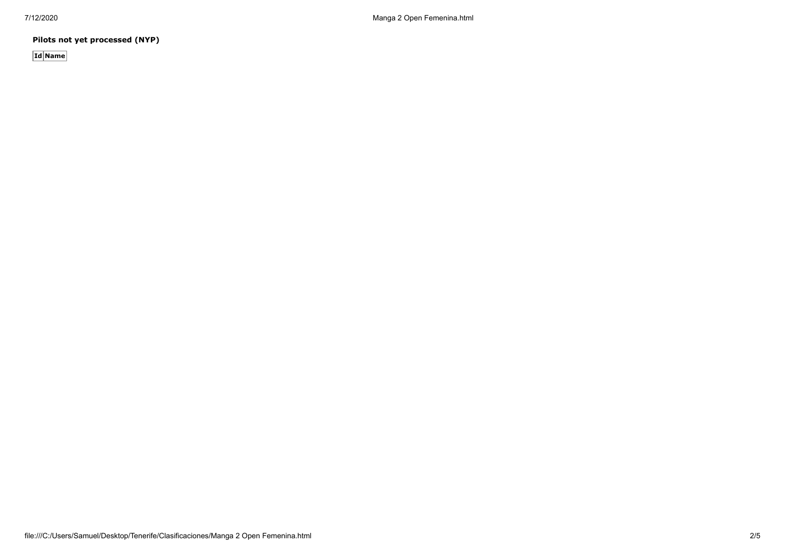**Pilots not yet processed (NYP)**

**Id Name**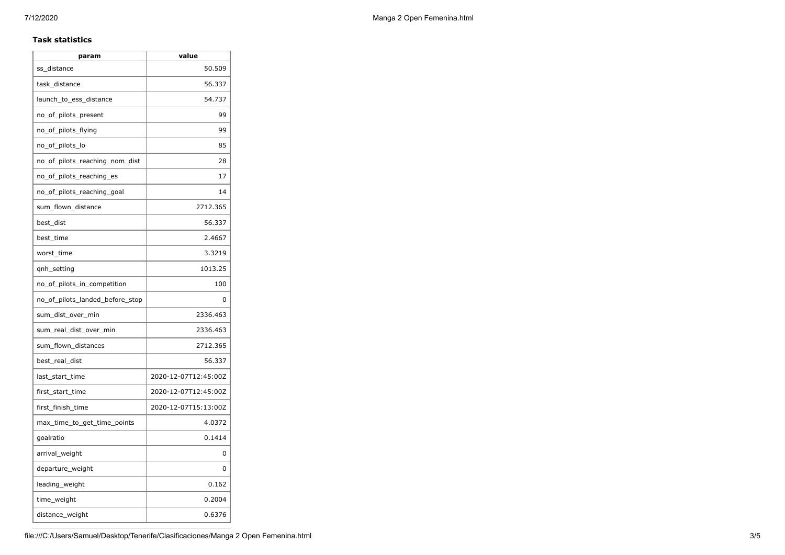## **Task statistics**

| param                           | value                |  |  |  |
|---------------------------------|----------------------|--|--|--|
| ss_distance                     | 50.509               |  |  |  |
| task_distance                   | 56.337               |  |  |  |
| launch_to_ess_distance          | 54.737               |  |  |  |
| no_of_pilots_present            | 99                   |  |  |  |
| no_of_pilots_flying             | 99                   |  |  |  |
| no_of_pilots_lo                 | 85                   |  |  |  |
| no_of_pilots_reaching_nom_dist  | 28                   |  |  |  |
| no_of_pilots_reaching_es        | 17                   |  |  |  |
| no_of_pilots_reaching_goal      | 14                   |  |  |  |
| sum_flown_distance              | 2712.365             |  |  |  |
| best_dist                       | 56.337               |  |  |  |
| best_time                       | 2.4667               |  |  |  |
| worst_time                      | 3.3219               |  |  |  |
| gnh_setting                     | 1013.25              |  |  |  |
| no_of_pilots_in_competition     | 100                  |  |  |  |
| no_of_pilots_landed_before_stop | 0                    |  |  |  |
| sum_dist_over_min               | 2336.463             |  |  |  |
| sum_real_dist_over_min          | 2336.463             |  |  |  |
| sum flown distances             | 2712.365             |  |  |  |
| best_real_dist                  | 56.337               |  |  |  |
| last_start_time                 | 2020-12-07T12:45:00Z |  |  |  |
| first_start_time                | 2020-12-07T12:45:00Z |  |  |  |
| first_finish_time               | 2020-12-07T15:13:00Z |  |  |  |
| max_time_to_get_time_points     | 4.0372               |  |  |  |
| goalratio                       | 0.1414               |  |  |  |
| arrival_weight                  | 0                    |  |  |  |
| departure_weight                | 0                    |  |  |  |
| leading_weight                  | 0.162                |  |  |  |
| time_weight                     | 0.2004               |  |  |  |
| distance_weight                 | 0.6376               |  |  |  |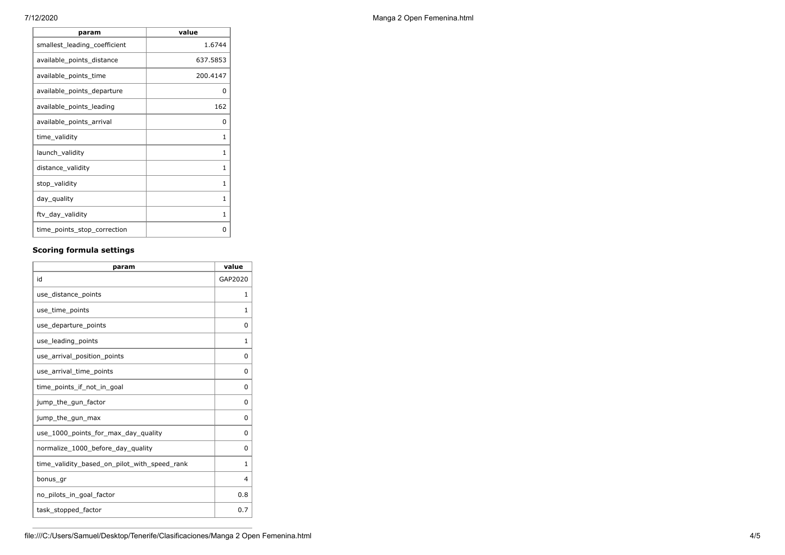| param                        | value    |
|------------------------------|----------|
| smallest_leading_coefficient | 1.6744   |
| available_points_distance    | 637.5853 |
| available_points_time        | 200.4147 |
| available_points_departure   | 0        |
| available_points_leading     | 162      |
| available_points_arrival     | 0        |
| time_validity                | 1        |
| launch_validity              | 1        |
| distance_validity            | 1        |
| stop_validity                | 1        |
| day_quality                  | 1        |
| ftv_day_validity             | 1        |
| time_points_stop_correction  | ŋ        |

# **Scoring formula settings**

| param                                        | value    |
|----------------------------------------------|----------|
| id                                           | GAP2020  |
| use_distance_points                          | 1        |
| use_time_points                              | 1        |
| use_departure_points                         | 0        |
| use_leading_points                           | 1        |
| use_arrival_position_points                  | $\Omega$ |
| use_arrival_time_points                      | 0        |
| time points if not in goal                   | 0        |
| jump_the_gun_factor                          | 0        |
| jump_the_gun_max                             | 0        |
| use 1000 points for max day quality          | 0        |
| normalize_1000_before_day_quality            | 0        |
| time_validity_based_on_pilot_with_speed_rank | 1        |
| bonus_gr                                     | 4        |
| no_pilots_in_goal_factor                     | 0.8      |
| task_stopped_factor                          | 0.7      |